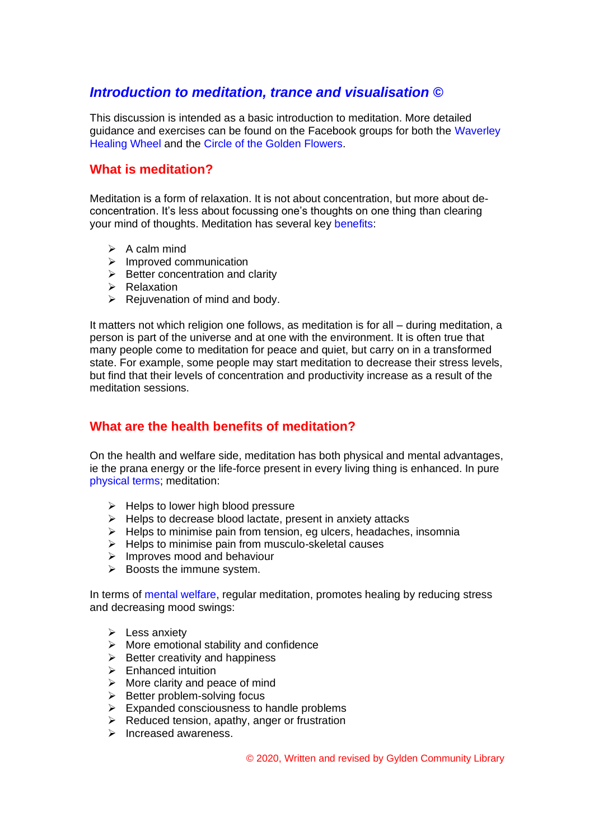## *Introduction to meditation, trance and visualisation ©*

This discussion is intended as a basic introduction to meditation. More detailed guidance and exercises can be found on the Facebook groups for both the Waverley Healing Wheel and the Circle of the Golden Flowers.

### **What is meditation?**

Meditation is a form of relaxation. It is not about concentration, but more about deconcentration. It's less about focussing one's thoughts on one thing than clearing your mind of thoughts. Meditation has several key benefits:

- $\triangleright$  A calm mind
- ➢ Improved communication
- $\triangleright$  Better concentration and clarity
- ➢ Relaxation
- $\triangleright$  Rejuvenation of mind and body.

It matters not which religion one follows, as meditation is for all – during meditation, a person is part of the universe and at one with the environment. It is often true that many people come to meditation for peace and quiet, but carry on in a transformed state. For example, some people may start meditation to decrease their stress levels, but find that their levels of concentration and productivity increase as a result of the meditation sessions.

## **What are the health benefits of meditation?**

On the health and welfare side, meditation has both physical and mental advantages, ie the prana energy or the life-force present in every living thing is enhanced. In pure physical terms; meditation:

- $\triangleright$  Helps to lower high blood pressure
- ➢ Helps to decrease blood lactate, present in anxiety attacks
- $\triangleright$  Helps to minimise pain from tension, eg ulcers, headaches, insomnia
- ➢ Helps to minimise pain from musculo-skeletal causes
- ➢ Improves mood and behaviour
- $\triangleright$  Boosts the immune system.

In terms of mental welfare, regular meditation, promotes healing by reducing stress and decreasing mood swings:

- $\triangleright$  Less anxiety
- $\triangleright$  More emotional stability and confidence
- $\triangleright$  Better creativity and happiness
- ➢ Enhanced intuition
- $\triangleright$  More clarity and peace of mind
- $\triangleright$  Better problem-solving focus
- $\triangleright$  Expanded consciousness to handle problems
- $\triangleright$  Reduced tension, apathy, anger or frustration
- ➢ Increased awareness.

© 2020, Written and revised by Gylden Community Library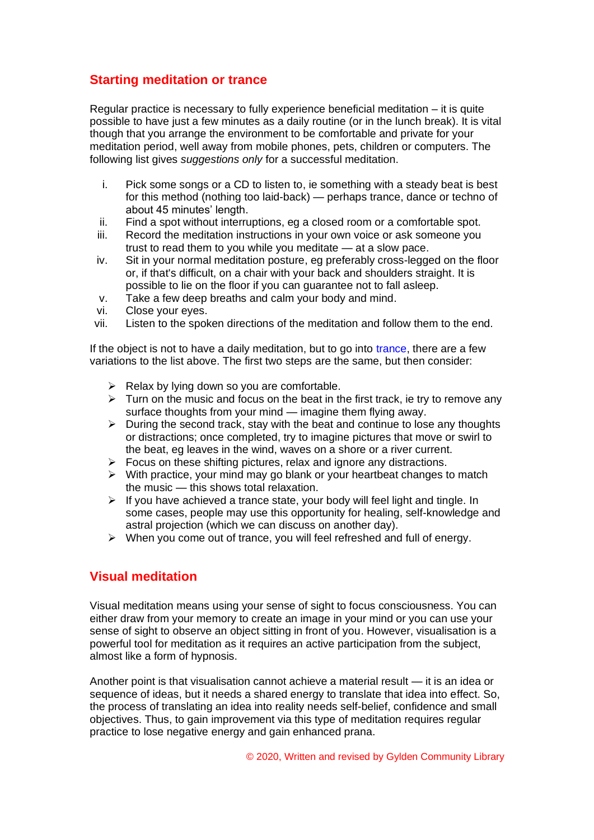## **Starting meditation or trance**

Regular practice is necessary to fully experience beneficial meditation – it is quite possible to have just a few minutes as a daily routine (or in the lunch break). It is vital though that you arrange the environment to be comfortable and private for your meditation period, well away from mobile phones, pets, children or computers. The following list gives *suggestions only* for a successful meditation.

- i. Pick some songs or a CD to listen to, ie something with a steady beat is best for this method (nothing too laid-back) — perhaps trance, dance or techno of about 45 minutes' length.
- ii. Find a spot without interruptions, eg a closed room or a comfortable spot.
- iii. Record the meditation instructions in your own voice or ask someone you trust to read them to you while you meditate — at a slow pace.
- iv. Sit in your normal meditation posture, eg preferably cross-legged on the floor or, if that's difficult, on a chair with your back and shoulders straight. It is possible to lie on the floor if you can guarantee not to fall asleep.
- v. Take a few deep breaths and calm your body and mind.
- vi. Close your eyes.
- vii. Listen to the spoken directions of the meditation and follow them to the end.

If the object is not to have a daily meditation, but to go into trance, there are a few variations to the list above. The first two steps are the same, but then consider:

- $\triangleright$  Relax by lying down so you are comfortable.
- $\triangleright$  Turn on the music and focus on the beat in the first track, ie try to remove any surface thoughts from your mind — imagine them flying away.
- $\triangleright$  During the second track, stay with the beat and continue to lose any thoughts or distractions; once completed, try to imagine pictures that move or swirl to the beat, eg leaves in the wind, waves on a shore or a river current.
- $\triangleright$  Focus on these shifting pictures, relax and ignore any distractions.
- $\triangleright$  With practice, your mind may go blank or your heartbeat changes to match the music — this shows total relaxation.
- $\triangleright$  If you have achieved a trance state, your body will feel light and tingle. In some cases, people may use this opportunity for healing, self-knowledge and astral projection (which we can discuss on another day).
- ➢ When you come out of trance, you will feel refreshed and full of energy.

### **Visual meditation**

Visual meditation means using your sense of sight to focus consciousness. You can either draw from your memory to create an image in your mind or you can use your sense of sight to observe an object sitting in front of you. However, visualisation is a powerful tool for meditation as it requires an active participation from the subject, almost like a form of hypnosis.

Another point is that visualisation cannot achieve a material result — it is an idea or sequence of ideas, but it needs a shared energy to translate that idea into effect. So, the process of translating an idea into reality needs self-belief, confidence and small objectives. Thus, to gain improvement via this type of meditation requires regular practice to lose negative energy and gain enhanced prana.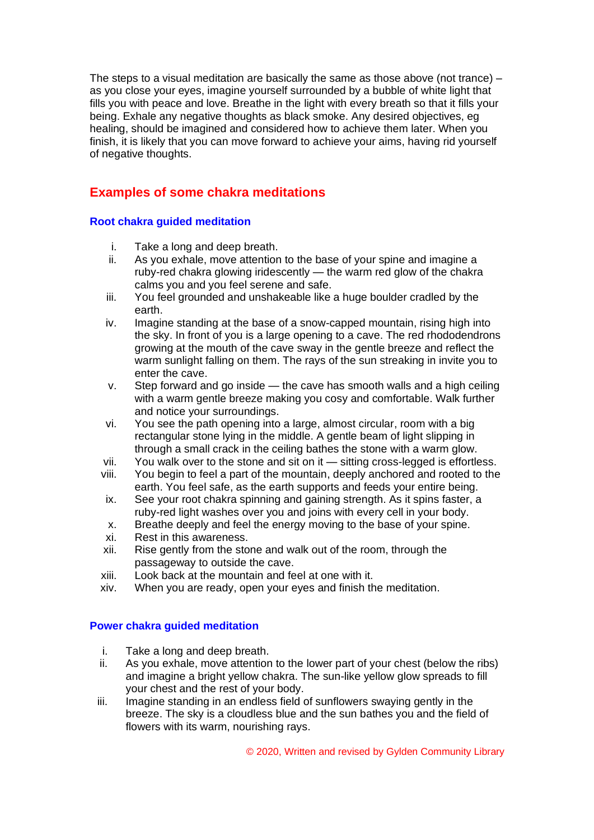The steps to a visual meditation are basically the same as those above (not trance)  $$ as you close your eyes, imagine yourself surrounded by a bubble of white light that fills you with peace and love. Breathe in the light with every breath so that it fills your being. Exhale any negative thoughts as black smoke. Any desired objectives, eg healing, should be imagined and considered how to achieve them later. When you finish, it is likely that you can move forward to achieve your aims, having rid yourself of negative thoughts.

# **Examples of some chakra meditations**

#### **Root chakra guided meditation**

- i. Take a long and deep breath.
- ii. As you exhale, move attention to the base of your spine and imagine a ruby-red chakra glowing iridescently — the warm red glow of the chakra calms you and you feel serene and safe.
- iii. You feel grounded and unshakeable like a huge boulder cradled by the earth.
- iv. Imagine standing at the base of a snow-capped mountain, rising high into the sky. In front of you is a large opening to a cave. The red rhododendrons growing at the mouth of the cave sway in the gentle breeze and reflect the warm sunlight falling on them. The rays of the sun streaking in invite you to enter the cave.
- v. Step forward and go inside the cave has smooth walls and a high ceiling with a warm gentle breeze making you cosy and comfortable. Walk further and notice your surroundings.
- vi. You see the path opening into a large, almost circular, room with a big rectangular stone lying in the middle. A gentle beam of light slipping in through a small crack in the ceiling bathes the stone with a warm glow.
- vii. You walk over to the stone and sit on it sitting cross-legged is effortless.
- viii. You begin to feel a part of the mountain, deeply anchored and rooted to the earth. You feel safe, as the earth supports and feeds your entire being.
- ix. See your root chakra spinning and gaining strength. As it spins faster, a ruby-red light washes over you and joins with every cell in your body.
- x. Breathe deeply and feel the energy moving to the base of your spine.
- xi. Rest in this awareness.
- xii. Rise gently from the stone and walk out of the room, through the passageway to outside the cave.
- xiii. Look back at the mountain and feel at one with it.
- xiv. When you are ready, open your eyes and finish the meditation.

#### **Power chakra guided meditation**

- i. Take a long and deep breath.
- ii. As you exhale, move attention to the lower part of your chest (below the ribs) and imagine a bright yellow chakra. The sun-like yellow glow spreads to fill your chest and the rest of your body.
- iii. Imagine standing in an endless field of sunflowers swaying gently in the breeze. The sky is a cloudless blue and the sun bathes you and the field of flowers with its warm, nourishing rays.